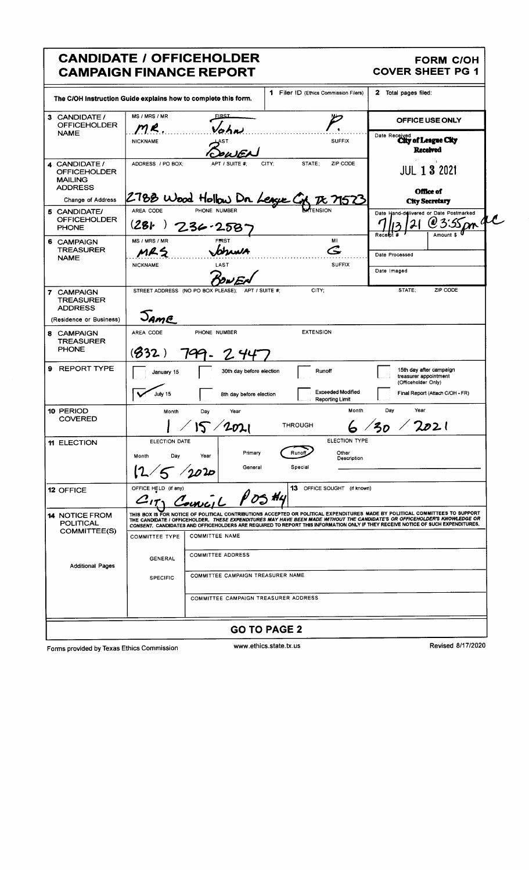| <b>CANDIDATE / OFFICEHOLDER</b><br><b>CAMPAIGN FINANCE REPORT</b>                                       |                                                                                                                                                                                                                                                                                                                                                                                               |                                                      |                      |                                                    | <b>FORM C/OH</b><br><b>COVER SHEET PG 1</b>             |                                                            |  |
|---------------------------------------------------------------------------------------------------------|-----------------------------------------------------------------------------------------------------------------------------------------------------------------------------------------------------------------------------------------------------------------------------------------------------------------------------------------------------------------------------------------------|------------------------------------------------------|----------------------|----------------------------------------------------|---------------------------------------------------------|------------------------------------------------------------|--|
| 1 Filer ID (Ethics Commission Filers)<br>The C/OH Instruction Guide explains how to complete this form. |                                                                                                                                                                                                                                                                                                                                                                                               |                                                      | 2 Total pages filed: |                                                    |                                                         |                                                            |  |
| 3 CANDIDATE /<br><b>OFFICEHOLDER</b>                                                                    | MS / MRS / MR<br><b>FIRST</b><br>M R<br>$\sqrt{2h}$                                                                                                                                                                                                                                                                                                                                           |                                                      |                      | OFFICE USE ONLY                                    |                                                         |                                                            |  |
| <b>NAME</b>                                                                                             | <b>NICKNAME</b>                                                                                                                                                                                                                                                                                                                                                                               |                                                      |                      | <b>SUFFIX</b>                                      | Date Received<br>City of League City<br><b>Received</b> |                                                            |  |
| 4 CANDIDATE /<br><b>OFFICEHOLDER</b><br><b>MAILING</b><br><b>ADDRESS</b>                                | ADDRESS / PO BOX:                                                                                                                                                                                                                                                                                                                                                                             | APT / SUITE #                                        | STATE:<br>CITY:      | ZIP CODE                                           | <b>JUL 1 3 2021</b>                                     |                                                            |  |
| Change of Address                                                                                       |                                                                                                                                                                                                                                                                                                                                                                                               | 2788 Wood Hollow Dr League Cr                        |                      | $\boldsymbol{\varkappa}$                           | Office of<br><b>City Secretary</b>                      |                                                            |  |
| 5 CANDIDATE/<br><b>OFFICEHOLDER</b><br><b>PHONE</b>                                                     | AREA CODE<br>(28)                                                                                                                                                                                                                                                                                                                                                                             | PHONE NUMBER<br>$236 - 258$                          |                      |                                                    | Receipt #                                               | Date Hand-delivered or Date Postmarked<br>m 4<br>Amount \$ |  |
| 6 CAMPAIGN<br><b>TREASURER</b>                                                                          | MS / MRS / MR<br>MRS                                                                                                                                                                                                                                                                                                                                                                          | <b>FIRST</b><br>Johnwa                               |                      | MI<br>G                                            | Date Processed                                          |                                                            |  |
| <b>NAME</b>                                                                                             | <b>NICKNAME</b>                                                                                                                                                                                                                                                                                                                                                                               | LAST                                                 |                      | <b>SUFFIX</b>                                      | Date Imaged                                             |                                                            |  |
| 7 CAMPAIGN<br><b>TREASURER</b><br><b>ADDRESS</b><br>(Residence or Business)                             | Jame                                                                                                                                                                                                                                                                                                                                                                                          | STREET ADDRESS (NO PO BOX PLEASE);<br>APT / SUITE #: | CITY:                |                                                    | STATE:                                                  | ZIP CODE                                                   |  |
| 8 CAMPAIGN<br><b>TREASURER</b><br><b>PHONE</b>                                                          | <b>EXTENSION</b><br>AREA CODE<br>PHONE NUMBER<br>(332)<br>$7^\circ$<br>24                                                                                                                                                                                                                                                                                                                     |                                                      |                      |                                                    |                                                         |                                                            |  |
| <b>REPORT TYPE</b><br>9                                                                                 | January 15                                                                                                                                                                                                                                                                                                                                                                                    | 30th day before election                             |                      | Runoff                                             | treasurer appointment<br>(Officeholder Only)            | 15th day after campaign                                    |  |
|                                                                                                         | July 15                                                                                                                                                                                                                                                                                                                                                                                       | 8th day before election                              |                      | <b>Exceeded Modified</b><br><b>Reporting Limit</b> |                                                         | Final Report (Attach C/OH - FR)                            |  |
| 10 PERIOD<br><b>COVERED</b>                                                                             | Year<br>Month<br>Day<br>Year<br>Month<br>Day<br>202 l<br><b>THROUGH</b>                                                                                                                                                                                                                                                                                                                       |                                                      |                      |                                                    |                                                         |                                                            |  |
| 11 ELECTION                                                                                             | ELECTION TYPE<br>ELECTION DATE<br>Primary<br>Other<br>Runo<br>Month<br>Day<br>Year<br>Description<br>General<br>Special<br>$\sqrt{20}$ ק                                                                                                                                                                                                                                                      |                                                      |                      |                                                    |                                                         |                                                            |  |
| 12 OFFICE                                                                                               | OFFICE HELD (if any)<br>13 OFFICE SOUGHT (if known)<br>CITY Council POSH4                                                                                                                                                                                                                                                                                                                     |                                                      |                      |                                                    |                                                         |                                                            |  |
| <b>14 NOTICE FROM</b><br><b>POLITICAL</b>                                                               | THIS BOX IS FOR NOTICE OF POLITICAL CONTRIBUTIONS ACCEPTED OR POLITICAL EXPENDITURES MADE BY POLITICAL COMMITTEES TO SUPPORT<br>THE CANDIDATE / OFFICEHOLDER. THESE EXPENDITURES MAY HAVE BEEN MADE WITHOUT THE CANDIDATE'S OR OFFICEHOLDER'S KNOWLEDGE OR<br>CONSENT. CANDIDATES AND OFFICEHOLDERS ARE REQUIRED TO REPORT THIS INFORMATION ONLY IF THEY RECEIVE NOTICE OF SUCH EXPENDITURES. |                                                      |                      |                                                    |                                                         |                                                            |  |
| COMMITTEE(S)                                                                                            | <b>COMMITTEE TYPE</b>                                                                                                                                                                                                                                                                                                                                                                         | <b>COMMITTEE NAME</b>                                |                      |                                                    |                                                         |                                                            |  |
| <b>COMMITTEE ADDRESS</b><br><b>GENERAL</b><br><b>Additional Pages</b>                                   |                                                                                                                                                                                                                                                                                                                                                                                               |                                                      |                      |                                                    |                                                         |                                                            |  |
|                                                                                                         | COMMITTEE CAMPAIGN TREASURER NAME<br><b>SPECIFIC</b>                                                                                                                                                                                                                                                                                                                                          |                                                      |                      |                                                    |                                                         |                                                            |  |
|                                                                                                         |                                                                                                                                                                                                                                                                                                                                                                                               | COMMITTEE CAMPAIGN TREASURER ADDRESS                 |                      |                                                    |                                                         |                                                            |  |
| <b>GO TO PAGE 2</b>                                                                                     |                                                                                                                                                                                                                                                                                                                                                                                               |                                                      |                      |                                                    |                                                         |                                                            |  |

Forms provided by Texas Ethics Commission

www.ethics.state.tx.us

Revised 8/17/2020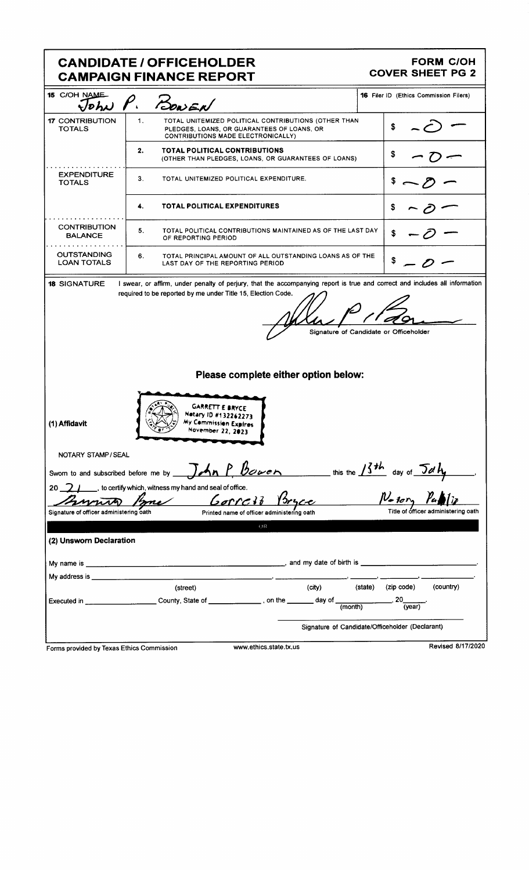|                                                                                                | <b>CANDIDATE / OFFICEHOLDER</b><br><b>CAMPAIGN FINANCE REPORT</b>                                                                              | <b>FORM C/OH</b><br><b>COVER SHEET PG 2</b>                                              |  |  |  |  |
|------------------------------------------------------------------------------------------------|------------------------------------------------------------------------------------------------------------------------------------------------|------------------------------------------------------------------------------------------|--|--|--|--|
| 15 C/OH NAME<br>$\sqrt{v}h$ N                                                                  | BONEN                                                                                                                                          | <b>16 Filer ID (Ethics Commission Filers)</b>                                            |  |  |  |  |
| <b>17 CONTRIBUTION</b><br><b>TOTALS</b>                                                        | 1.<br>TOTAL UNITEMIZED POLITICAL CONTRIBUTIONS (OTHER THAN<br>PLEDGES, LOANS, OR GUARANTEES OF LOANS, OR<br>CONTRIBUTIONS MADE ELECTRONICALLY) | \$                                                                                       |  |  |  |  |
|                                                                                                | TOTAL POLITICAL CONTRIBUTIONS<br>2.<br>(OTHER THAN PLEDGES, LOANS, OR GUARANTEES OF LOANS)                                                     |                                                                                          |  |  |  |  |
| <b>EXPENDITURE</b><br><b>TOTALS</b>                                                            | 3.<br>TOTAL UNITEMIZED POLITICAL EXPENDITURE.                                                                                                  |                                                                                          |  |  |  |  |
|                                                                                                | <b>TOTAL POLITICAL EXPENDITURES</b><br>4.                                                                                                      |                                                                                          |  |  |  |  |
| <b>CONTRIBUTION</b><br><b>BALANCE</b>                                                          | 5.<br>TOTAL POLITICAL CONTRIBUTIONS MAINTAINED AS OF THE LAST DAY<br>OF REPORTING PERIOD                                                       |                                                                                          |  |  |  |  |
| <b>OUTSTANDING</b><br><b>LOAN TOTALS</b>                                                       | 6.<br>TOTAL PRINCIPAL AMOUNT OF ALL OUTSTANDING LOANS AS OF THE<br>LAST DAY OF THE REPORTING PERIOD                                            |                                                                                          |  |  |  |  |
| (1) Affidavit                                                                                  | <b>GARRETT E BRYCE</b><br>Netary ID #132262273<br>My Commission Expires<br>November 22, 2023                                                   | Please complete either option below:                                                     |  |  |  |  |
| NOTARY STAMP / SEAL                                                                            |                                                                                                                                                | Sworn to and subscribed before me by $\int$ An P. Bower this the $13th$ day of $\int dH$ |  |  |  |  |
|                                                                                                | 20 $\sqrt{2}$ / to certify which, witness my hand and seal of office.<br>me Gorrald                                                            | $N_{\text{-}1\sigma r}$                                                                  |  |  |  |  |
| Signature of officer administering oath                                                        | Printed name of officer administering oath<br>OR                                                                                               |                                                                                          |  |  |  |  |
| (2) Unsworn Declaration                                                                        |                                                                                                                                                |                                                                                          |  |  |  |  |
|                                                                                                |                                                                                                                                                |                                                                                          |  |  |  |  |
|                                                                                                |                                                                                                                                                |                                                                                          |  |  |  |  |
|                                                                                                | (street)                                                                                                                                       | (country)<br>(state) (zip code)<br>(city)                                                |  |  |  |  |
|                                                                                                | Executed in ___________________________County, State of ______________, on the ________ day of $\frac{1}{\text{(month)}}$                      | $\overline{\phantom{a}}$ , 20 $\overline{\phantom{a}}$<br>(vear)                         |  |  |  |  |
| Signature of Candidate/Officeholder (Declarant)<br>Revised 8/17/2020<br>www.ethics.state.tx.us |                                                                                                                                                |                                                                                          |  |  |  |  |